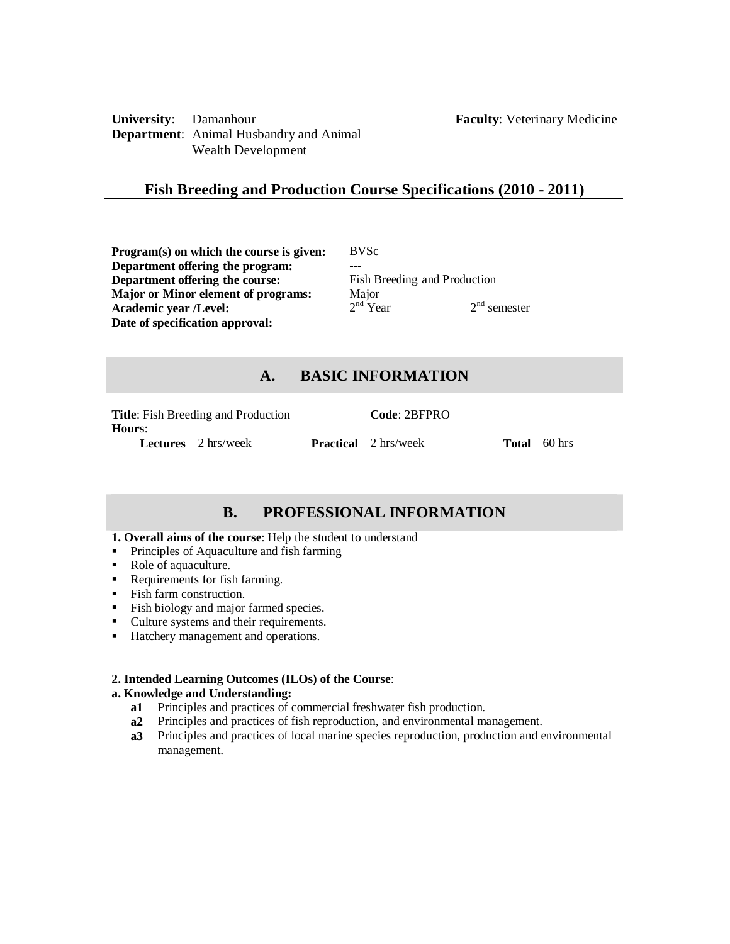**University**: Damanhour **Faculty**: Veterinary Medicine **Department**: Animal Husbandry and Animal Wealth Development

# **Fish Breeding and Production Course Specifications (2010 - 2011)**

**Program(s) on which the course is given:** BVSc **Department offering the program:** --- **Department offering the course:** Fish Breeding and Production<br> **Maior or Minor element of programs:** Maior **Major or Minor element of programs: Academic year /Level:** 2  $2<sup>nd</sup>$  Year  $2<sup>nd</sup>$  semester **Date of specification approval:**

# **A. BASIC INFORMATION**

| <b>Hours:</b> | <b>Title:</b> Fish Breeding and Production | <b>Code: 2BFPRO</b>         |                     |
|---------------|--------------------------------------------|-----------------------------|---------------------|
|               | <b>Lectures</b> 2 hrs/week                 | <b>Practical</b> 2 hrs/week | <b>Total</b> 60 hrs |

# **B. PROFESSIONAL INFORMATION**

#### **1. Overall aims of the course**: Help the student to understand

- **Principles of Aquaculture and fish farming**
- Role of aquaculture.
- Requirements for fish farming.
- Fish farm construction.
- Fish biology and major farmed species.
- Culture systems and their requirements.
- Hatchery management and operations.

## **2. Intended Learning Outcomes (ILOs) of the Course**:

#### **a. Knowledge and Understanding:**

- **a1** Principles and practices of commercial freshwater fish production.
- **a2** Principles and practices of fish reproduction, and environmental management.
- **a3** Principles and practices of local marine species reproduction, production and environmental management.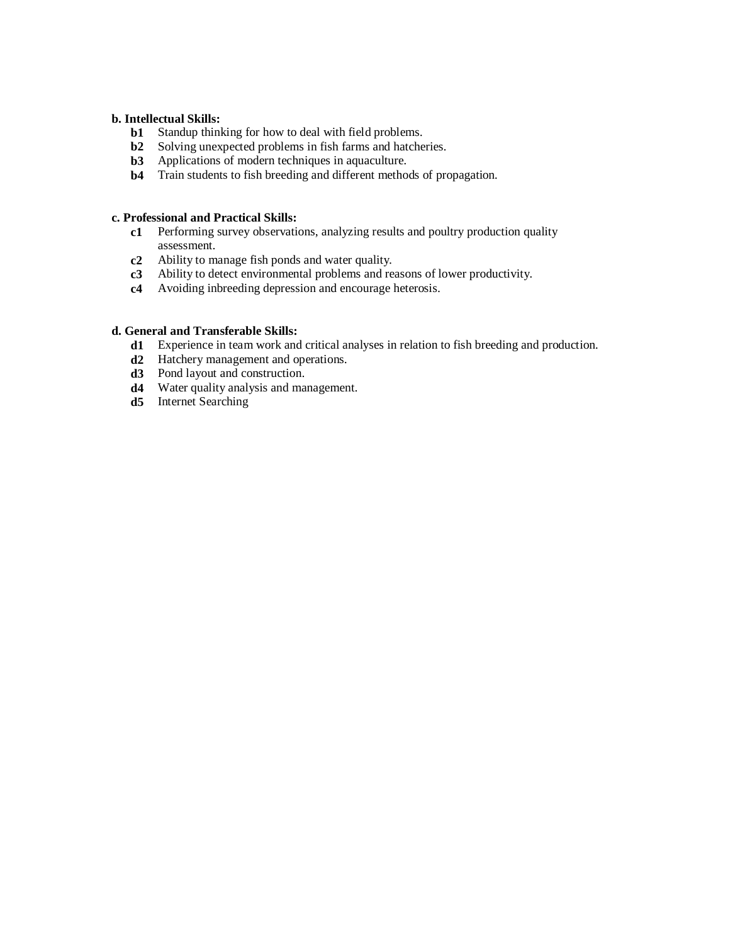## **b. Intellectual Skills:**

- **b1** Standup thinking for how to deal with field problems.<br>**b2** Solving unexpected problems in fish farms and hatche
- Solving unexpected problems in fish farms and hatcheries.
- **b3** Applications of modern techniques in aquaculture.
- **b4** Train students to fish breeding and different methods of propagation.

### **c. Professional and Practical Skills:**

- **c1** Performing survey observations, analyzing results and poultry production quality assessment.
- **c2** Ability to manage fish ponds and water quality.
- **c3** Ability to detect environmental problems and reasons of lower productivity.
- **c4** Avoiding inbreeding depression and encourage heterosis.

## **d. General and Transferable Skills:**

- **d1** Experience in team work and critical analyses in relation to fish breeding and production.
- **d2** Hatchery management and operations.
- **d3** Pond layout and construction.
- **d4** Water quality analysis and management.
- **d5** Internet Searching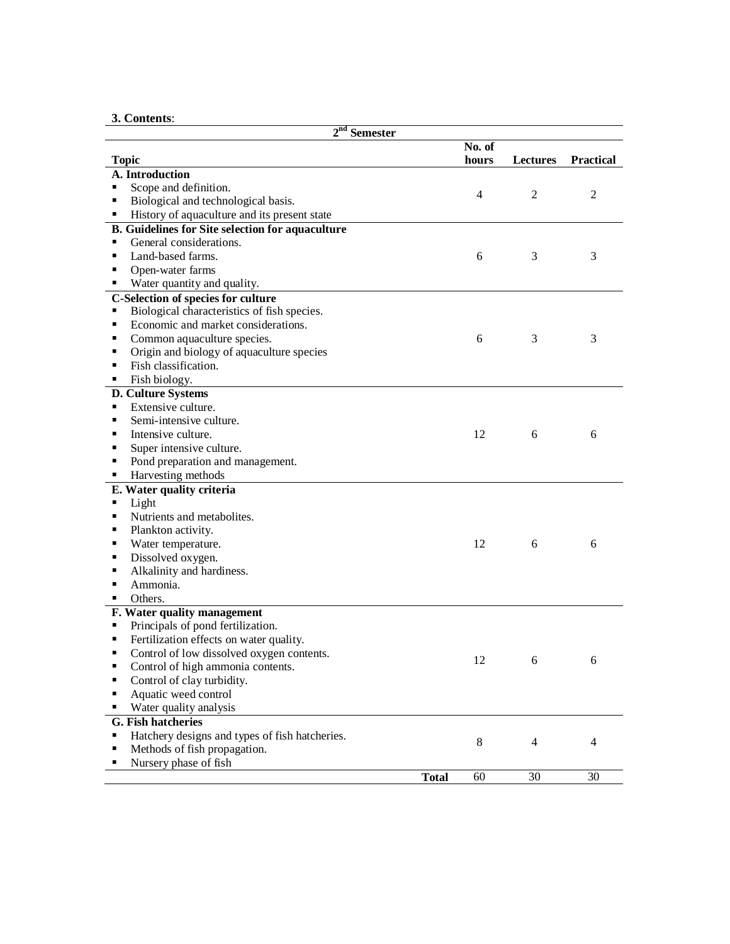# **3. Contents**:

| $2^{\text{nd}}$<br><b>Semester</b>                      |              |        |                 |                  |
|---------------------------------------------------------|--------------|--------|-----------------|------------------|
|                                                         |              | No. of |                 |                  |
| <b>Topic</b>                                            |              | hours  | <b>Lectures</b> | <b>Practical</b> |
| A. Introduction                                         |              |        |                 |                  |
| Scope and definition.                                   |              | 4      | $\overline{2}$  | $\overline{2}$   |
| Biological and technological basis.<br>Ξ                |              |        |                 |                  |
| History of aquaculture and its present state<br>٠       |              |        |                 |                  |
| <b>B.</b> Guidelines for Site selection for aquaculture |              |        |                 |                  |
| General considerations.<br>٠                            |              |        |                 |                  |
| Land-based farms.<br>п                                  |              | 6      | 3               | 3                |
| Open-water farms<br>п                                   |              |        |                 |                  |
| Water quantity and quality.                             |              |        |                 |                  |
| C-Selection of species for culture                      |              |        |                 |                  |
| Biological characteristics of fish species.<br>٠        |              |        |                 |                  |
| Economic and market considerations.<br>٠                |              |        |                 |                  |
| Common aquaculture species.<br>٠                        |              | 6      | 3               | 3                |
| Origin and biology of aquaculture species<br>п          |              |        |                 |                  |
| Fish classification.<br>٠                               |              |        |                 |                  |
| Fish biology.<br>٠                                      |              |        |                 |                  |
| D. Culture Systems                                      |              |        |                 |                  |
| Extensive culture.<br>٠                                 |              |        |                 |                  |
| Semi-intensive culture.<br>п                            |              |        |                 |                  |
| Intensive culture.<br>п                                 |              | 12     | 6               | 6                |
| Super intensive culture.<br>п                           |              |        |                 |                  |
| Pond preparation and management.<br>п                   |              |        |                 |                  |
| Harvesting methods<br>٠                                 |              |        |                 |                  |
| E. Water quality criteria                               |              |        |                 |                  |
| Light                                                   |              |        |                 |                  |
| Nutrients and metabolites.<br>п                         |              |        |                 |                  |
| Plankton activity.<br>٠                                 |              |        |                 |                  |
| Water temperature.<br>п                                 |              | 12     | 6               | 6                |
| Dissolved oxygen.<br>п                                  |              |        |                 |                  |
| Alkalinity and hardiness.<br>п                          |              |        |                 |                  |
| Ammonia.                                                |              |        |                 |                  |
| Others.                                                 |              |        |                 |                  |
| F. Water quality management                             |              |        |                 |                  |
| Principals of pond fertilization.<br>٠                  |              |        |                 |                  |
| Fertilization effects on water quality.<br>٠            |              |        |                 |                  |
| Control of low dissolved oxygen contents.<br>п          |              |        |                 |                  |
| Control of high ammonia contents.<br>п                  |              | 12     | 6               | 6                |
| Control of clay turbidity.<br>п                         |              |        |                 |                  |
| Aquatic weed control<br>п                               |              |        |                 |                  |
| Water quality analysis                                  |              |        |                 |                  |
| G. Fish hatcheries                                      |              |        |                 |                  |
| Hatchery designs and types of fish hatcheries.<br>Ξ     |              |        |                 |                  |
| Methods of fish propagation.<br>Е                       |              | 8      | $\overline{4}$  | $\overline{4}$   |
| Nursery phase of fish                                   |              |        |                 |                  |
|                                                         | <b>Total</b> | 60     | 30              | 30               |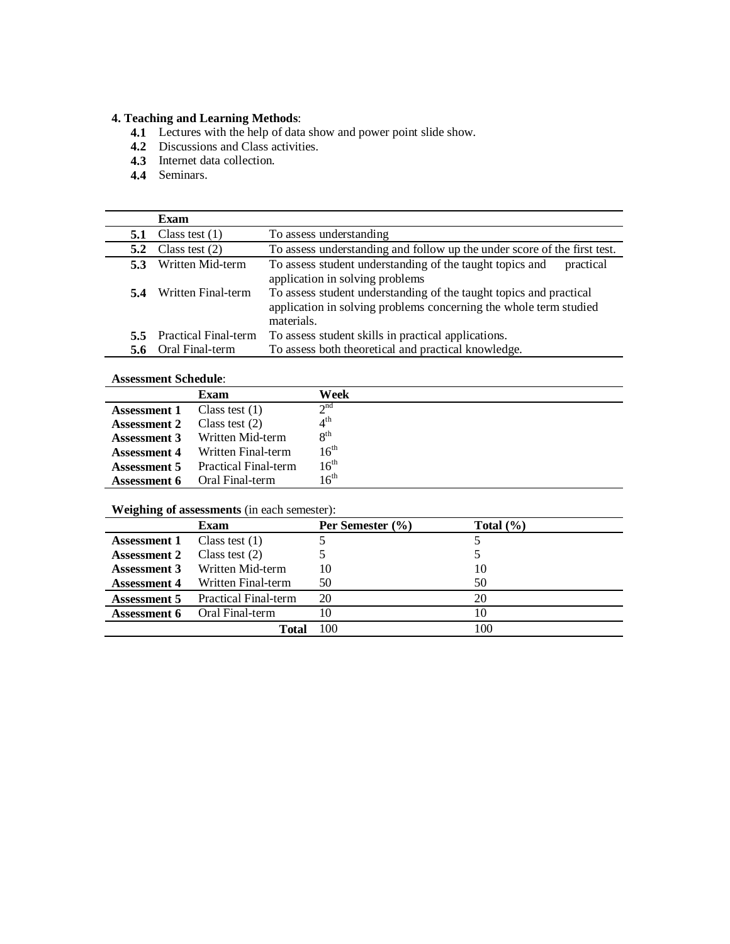#### **4. Teaching and Learning Methods**:

- **4.1** Lectures with the help of data show and power point slide show.
- **4.2** Discussions and Class activities.
- **4.3** Internet data collection.
- **4.4** Seminars.

|               | Exam                        |                                                                                                                                                       |  |
|---------------|-----------------------------|-------------------------------------------------------------------------------------------------------------------------------------------------------|--|
| 5.1           | Class test $(1)$            | To assess understanding                                                                                                                               |  |
| 5.2           | Class test $(2)$            | To assess understanding and follow up the under score of the first test.                                                                              |  |
| 5.3           | Written Mid-term            | To assess student understanding of the taught topics and<br>practical<br>application in solving problems                                              |  |
| 5.4           | Written Final-term          | To assess student understanding of the taught topics and practical<br>application in solving problems concerning the whole term studied<br>materials. |  |
| $5.5^{\circ}$ | <b>Practical Final-term</b> | To assess student skills in practical applications.                                                                                                   |  |
| 5.6           | Oral Final-term             | To assess both theoretical and practical knowledge.                                                                                                   |  |

## **Assessment Schedule**:

| <i>Trendentent Deneuvre</i> |                             |                       |
|-----------------------------|-----------------------------|-----------------------|
|                             | Exam                        | Week                  |
| <b>Assessment 1</b>         | Class test $(1)$            | $\gamma$ nd           |
| <b>Assessment 2</b>         | Class test $(2)$            | $\Lambda^{\text{th}}$ |
| <b>Assessment 3</b>         | Written Mid-term            | 8 <sup>th</sup>       |
| <b>Assessment 4</b>         | Written Final-term          | 16 <sup>th</sup>      |
| <b>Assessment 5</b>         | <b>Practical Final-term</b> | $16^{th}$             |
| Assessment 6                | Oral Final-term             | $16^{th}$             |

### **Weighing of assessments** (in each semester):

|                     | Exam                                | Per Semester (%) | Total $(\% )$ |
|---------------------|-------------------------------------|------------------|---------------|
| <b>Assessment 1</b> | Class test $(1)$                    |                  |               |
| <b>Assessment 2</b> | Class test $(2)$                    |                  |               |
| <b>Assessment 3</b> | Written Mid-term                    | 10               | 10            |
| <b>Assessment 4</b> | Written Final-term                  | 50               | 50            |
| Assessment 5        | <b>Practical Final-term</b>         | 20               | 20            |
|                     | <b>Assessment 6</b> Oral Final-term | 10               | 10            |
|                     | Total                               | 100              | 100           |